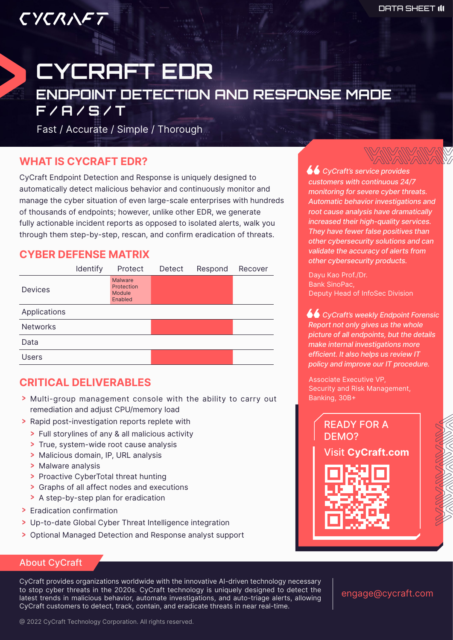# CYCRAFT EDR ENDPOINT DETECTION AND RESPONSE MADE  $\overline{F/H/S/T}$

Fast / Accurate / Simple / Thorough

#### **WHAT IS CYCRAFT EDR?**

CYCRAFT

CyCraft Endpoint Detection and Response is uniquely designed to automatically detect malicious behavior and continuously monitor and manage the cyber situation of even large-scale enterprises with hundreds of thousands of endpoints; however, unlike other EDR, we generate fully actionable incident reports as opposed to isolated alerts, walk you through them step-by-step, rescan, and confirm eradication of threats.

## **CYBER DEFENSE MATRIX**



# **CRITICAL DELIVERABLES**

- > Multi-group management console with the ability to carry out remediation and adjust CPU/memory load
- > Rapid post-investigation reports replete with
	- > Full storylines of any & all malicious activity
	- > True, system-wide root cause analysis
	- > Malicious domain, IP, URL analysis
	- > Malware analysis
	- > Proactive CyberTotal threat hunting
	- > Graphs of all affect nodes and executions
	- > A step-by-step plan for eradication
- > Eradication confirmation
- > Up-to-date Global Cyber Threat Intelligence integration
- Optional Managed Detection and Response analyst support

 *CyCraft's service provides customers with continuous 24/7 monitoring for severe cyber threats. Automatic behavior investigations and root cause analysis have dramatically increased their high-quality services. They have fewer false positives than other cybersecurity solutions and can validate the accuracy of alerts from other cybersecurity products.*

Dayu Kao Prof./Dr. Bank SinoPac, Deputy Head of InfoSec Division

 *CyCraft's weekly Endpoint Forensic Report not only gives us the whole picture of all endpoints, but the details make internal investigations more efficient. It also helps us review IT policy and improve our IT procedure.*

Associate Executive VP, Security and Risk Management, Banking, 30B+



#### About CyCraft

CyCraft provides organizations worldwide with the innovative AI-driven technology necessary to stop cyber threats in the 2020s. CyCraft technology is uniquely designed to detect the latest trends in malicious behavior, automate investigations, and auto-triage alerts, allowing CyCraft customers to detect, track, contain, and eradicate threats in near real-time.

engage@cycraft.com